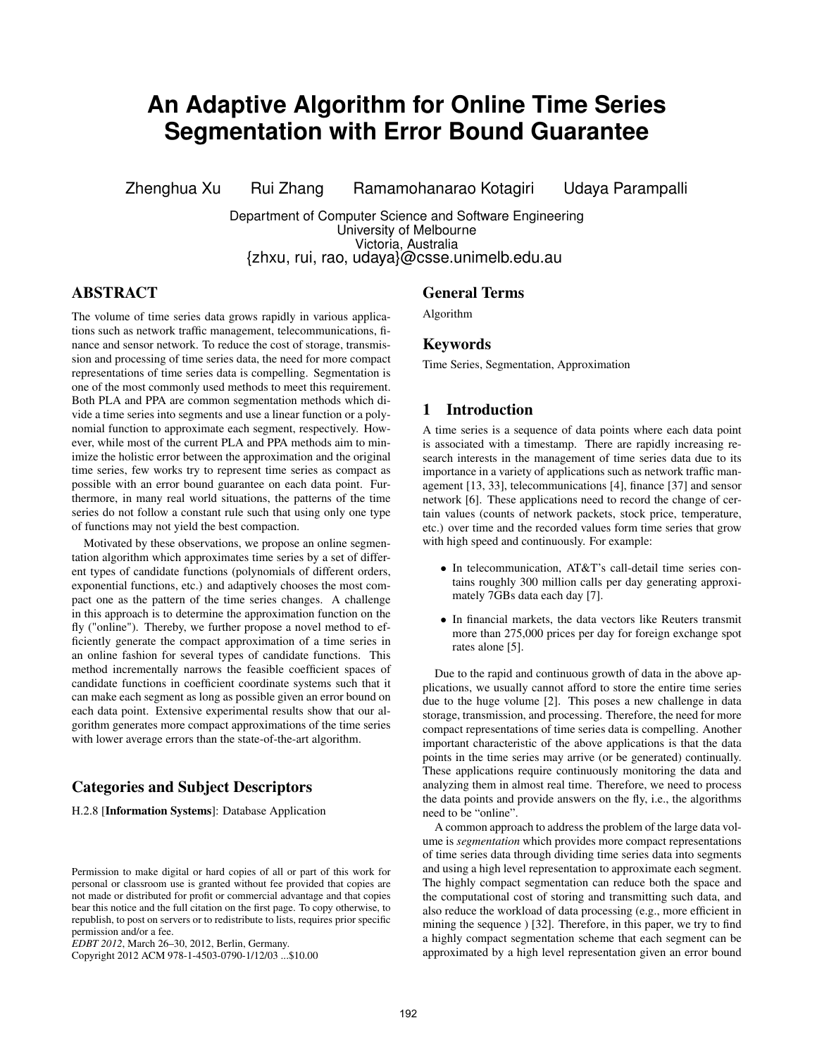# **An Adaptive Algorithm for Online Time Series Segmentation with Error Bound Guarantee**

Zhenghua Xu Rui Zhang Ramamohanarao Kotagiri Udaya Parampalli

Department of Computer Science and Software Engineering University of Melbourne Victoria, Australia {zhxu, rui, rao, udaya}@csse.unimelb.edu.au

# **ABSTRACT**

The volume of time series data grows rapidly in various applications such as network traffic management, telecommunications, finance and sensor network. To reduce the cost of storage, transmission and processing of time series data, the need for more compact representations of time series data is compelling. Segmentation is one of the most commonly used methods to meet this requirement. Both PLA and PPA are common segmentation methods which divide a time series into segments and use a linear function or a polynomial function to approximate each segment, respectively. However, while most of the current PLA and PPA methods aim to minimize the holistic error between the approximation and the original time series, few works try to represent time series as compact as possible with an error bound guarantee on each data point. Furthermore, in many real world situations, the patterns of the time series do not follow a constant rule such that using only one type of functions may not yield the best compaction.

Motivated by these observations, we propose an online segmentation algorithm which approximates time series by a set of different types of candidate functions (polynomials of different orders, exponential functions, etc.) and adaptively chooses the most compact one as the pattern of the time series changes. A challenge in this approach is to determine the approximation function on the fly ("online"). Thereby, we further propose a novel method to efficiently generate the compact approximation of a time series in an online fashion for several types of candidate functions. This method incrementally narrows the feasible coefficient spaces of candidate functions in coefficient coordinate systems such that it can make each segment as long as possible given an error bound on each data point. Extensive experimental results show that our algorithm generates more compact approximations of the time series with lower average errors than the state-of-the-art algorithm.

# **Categories and Subject Descriptors**

H.2.8 [**Information Systems**]: Database Application

Copyright 2012 ACM 978-1-4503-0790-1/12/03 ...\$10.00

# **General Terms**

Algorithm

# **Keywords**

Time Series, Segmentation, Approximation

# **1 Introduction**

A time series is a sequence of data points where each data point is associated with a timestamp. There are rapidly increasing research interests in the management of time series data due to its importance in a variety of applications such as network traffic management [13, 33], telecommunications [4], finance [37] and sensor network [6]. These applications need to record the change of certain values (counts of network packets, stock price, temperature, etc.) over time and the recorded values form time series that grow with high speed and continuously. For example:

- In telecommunication, AT&T's call-detail time series contains roughly 300 million calls per day generating approximately 7GBs data each day [7].
- In financial markets, the data vectors like Reuters transmit more than 275,000 prices per day for foreign exchange spot rates alone [5].

Due to the rapid and continuous growth of data in the above applications, we usually cannot afford to store the entire time series due to the huge volume [2]. This poses a new challenge in data storage, transmission, and processing. Therefore, the need for more compact representations of time series data is compelling. Another important characteristic of the above applications is that the data points in the time series may arrive (or be generated) continually. These applications require continuously monitoring the data and analyzing them in almost real time. Therefore, we need to process the data points and provide answers on the fly, i.e., the algorithms need to be "online".

A common approach to address the problem of the large data volume is *segmentation* which provides more compact representations of time series data through dividing time series data into segments and using a high level representation to approximate each segment. The highly compact segmentation can reduce both the space and the computational cost of storing and transmitting such data, and also reduce the workload of data processing (e.g., more efficient in mining the sequence ) [32]. Therefore, in this paper, we try to find a highly compact segmentation scheme that each segment can be approximated by a high level representation given an error bound

Permission to make digital or hard copies of all or part of this work for personal or classroom use is granted without fee provided that copies are not made or distributed for profit or commercial advantage and that copies bear this notice and the full citation on the first page. To copy otherwise, to republish, to post on servers or to redistribute to lists, requires prior specific permission and/or a fee.

*EDBT 2012*, March 26–30, 2012, Berlin, Germany.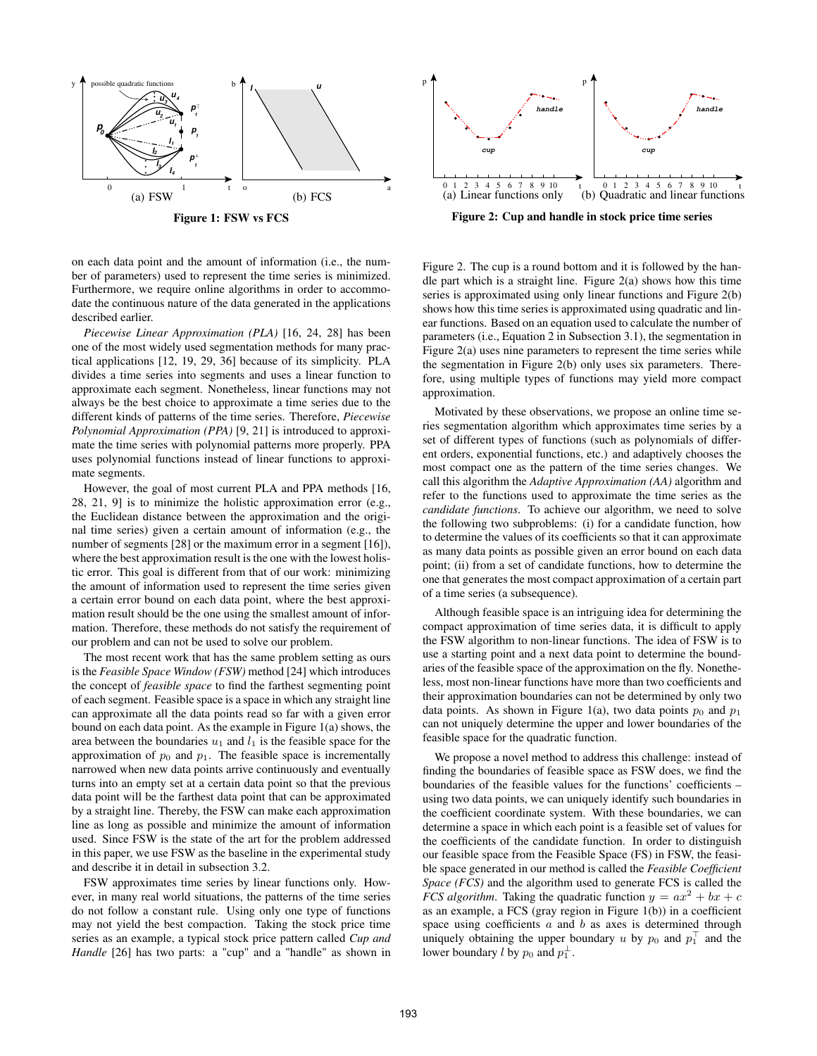

on each data point and the amount of information (i.e., the number of parameters) used to represent the time series is minimized. Furthermore, we require online algorithms in order to accommodate the continuous nature of the data generated in the applications described earlier.

*Piecewise Linear Approximation (PLA)* [16, 24, 28] has been one of the most widely used segmentation methods for many practical applications [12, 19, 29, 36] because of its simplicity. PLA divides a time series into segments and uses a linear function to approximate each segment. Nonetheless, linear functions may not always be the best choice to approximate a time series due to the different kinds of patterns of the time series. Therefore, *Piecewise Polynomial Approximation (PPA)* [9, 21] is introduced to approximate the time series with polynomial patterns more properly. PPA uses polynomial functions instead of linear functions to approximate segments.

However, the goal of most current PLA and PPA methods [16, 28, 21, 9] is to minimize the holistic approximation error (e.g., the Euclidean distance between the approximation and the original time series) given a certain amount of information (e.g., the number of segments [28] or the maximum error in a segment [16]), where the best approximation result is the one with the lowest holistic error. This goal is different from that of our work: minimizing the amount of information used to represent the time series given a certain error bound on each data point, where the best approximation result should be the one using the smallest amount of information. Therefore, these methods do not satisfy the requirement of our problem and can not be used to solve our problem.

The most recent work that has the same problem setting as ours is the *Feasible Space Window (FSW)* method [24] which introduces the concept of *feasible space* to find the farthest segmenting point of each segment. Feasible space is a space in which any straight line can approximate all the data points read so far with a given error bound on each data point. As the example in Figure 1(a) shows, the area between the boundaries  $u_1$  and  $l_1$  is the feasible space for the approximation of  $p_0$  and  $p_1$ . The feasible space is incrementally narrowed when new data points arrive continuously and eventually turns into an empty set at a certain data point so that the previous data point will be the farthest data point that can be approximated by a straight line. Thereby, the FSW can make each approximation line as long as possible and minimize the amount of information used. Since FSW is the state of the art for the problem addressed in this paper, we use FSW as the baseline in the experimental study and describe it in detail in subsection 3.2.

FSW approximates time series by linear functions only. However, in many real world situations, the patterns of the time series do not follow a constant rule. Using only one type of functions may not yield the best compaction. Taking the stock price time series as an example, a typical stock price pattern called *Cup and Handle* [26] has two parts: a "cup" and a "handle" as shown in



**Figure 2: Cup and handle in stock price time series**

Figure 2. The cup is a round bottom and it is followed by the handle part which is a straight line. Figure  $2(a)$  shows how this time series is approximated using only linear functions and Figure 2(b) shows how this time series is approximated using quadratic and linear functions. Based on an equation used to calculate the number of parameters (i.e., Equation 2 in Subsection 3.1), the segmentation in Figure 2(a) uses nine parameters to represent the time series while the segmentation in Figure 2(b) only uses six parameters. Therefore, using multiple types of functions may yield more compact approximation.

Motivated by these observations, we propose an online time series segmentation algorithm which approximates time series by a set of different types of functions (such as polynomials of different orders, exponential functions, etc.) and adaptively chooses the most compact one as the pattern of the time series changes. We call this algorithm the *Adaptive Approximation (AA)* algorithm and refer to the functions used to approximate the time series as the *candidate functions*. To achieve our algorithm, we need to solve the following two subproblems: (i) for a candidate function, how to determine the values of its coefficients so that it can approximate as many data points as possible given an error bound on each data point; (ii) from a set of candidate functions, how to determine the one that generates the most compact approximation of a certain part of a time series (a subsequence).

Although feasible space is an intriguing idea for determining the compact approximation of time series data, it is difficult to apply the FSW algorithm to non-linear functions. The idea of FSW is to use a starting point and a next data point to determine the boundaries of the feasible space of the approximation on the fly. Nonetheless, most non-linear functions have more than two coefficients and their approximation boundaries can not be determined by only two data points. As shown in Figure 1(a), two data points  $p_0$  and  $p_1$ can not uniquely determine the upper and lower boundaries of the feasible space for the quadratic function.

We propose a novel method to address this challenge: instead of finding the boundaries of feasible space as FSW does, we find the boundaries of the feasible values for the functions' coefficients – using two data points, we can uniquely identify such boundaries in the coefficient coordinate system. With these boundaries, we can determine a space in which each point is a feasible set of values for the coefficients of the candidate function. In order to distinguish our feasible space from the Feasible Space (FS) in FSW, the feasible space generated in our method is called the *Feasible Coefficient Space (FCS)* and the algorithm used to generate FCS is called the *FCS algorithm*. Taking the quadratic function  $y = ax^2 + bx + c$ as an example, a FCS (gray region in Figure 1(b)) in a coefficient space using coefficients  $a$  and  $b$  as axes is determined through uniquely obtaining the upper boundary u by  $p_0$  and  $p_1^{\top}$  and the lower boundary l by  $p_0$  and  $p_1^{\perp}$ .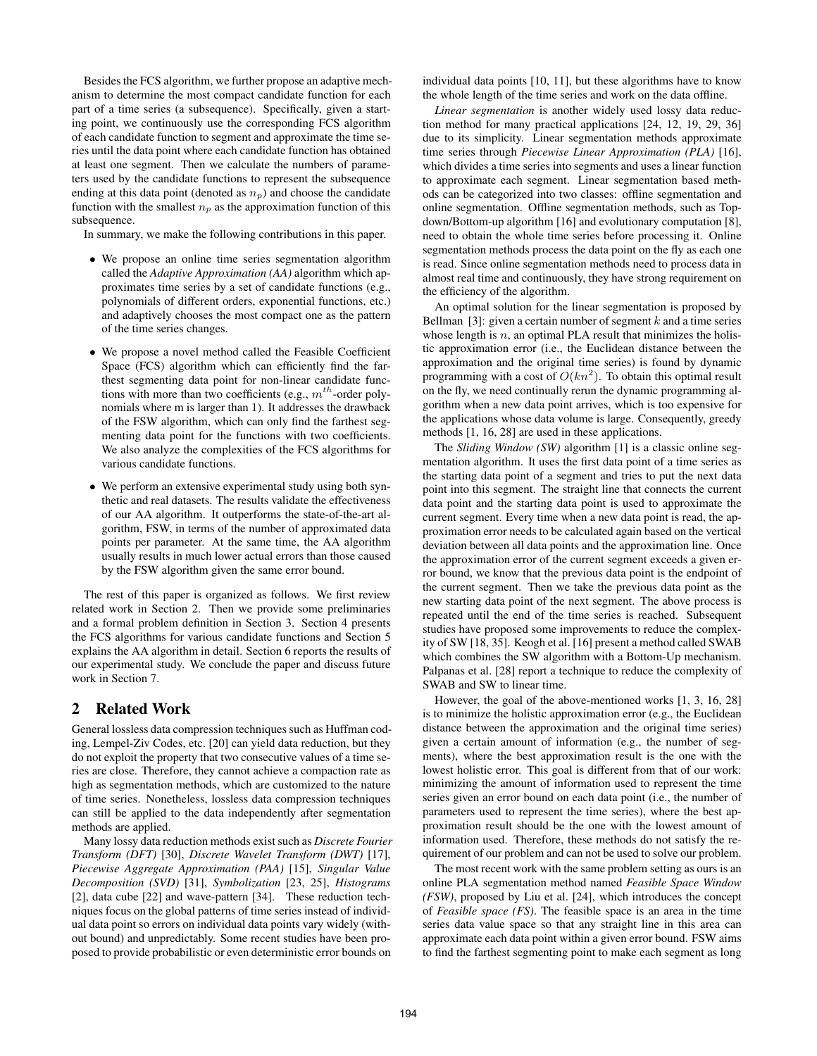Besides the FCS algorithm, we further propose an adaptive mechanism to determine the most compact candidate function for each part of a time series (a subsequence). Specifically, given a starting point, we continuously use the corresponding FCS algorithm of each candidate function to segment and approximate the time series until the data point where each candidate function has obtained at least one segment. Then we calculate the numbers of parameters used by the candidate functions to represent the subsequence ending at this data point (denoted as  $n_p$ ) and choose the candidate function with the smallest  $n_p$  as the approximation function of this subsequence.

In summary, we make the following contributions in this paper.

- We propose an online time series segmentation algorithm called the *Adaptive Approximation (AA)* algorithm which approximates time series by a set of candidate functions (e.g., polynomials of different orders, exponential functions, etc.) and adaptively chooses the most compact one as the pattern of the time series changes.
- We propose a novel method called the Feasible Coefficient Space (FCS) algorithm which can efficiently find the farthest segmenting data point for non-linear candidate functions with more than two coefficients (e.g.,  $m^{th}$ -order polynomials where m is larger than 1). It addresses the drawback of the FSW algorithm, which can only find the farthest segmenting data point for the functions with two coefficients. We also analyze the complexities of the FCS algorithms for various candidate functions.
- We perform an extensive experimental study using both synthetic and real datasets. The results validate the effectiveness of our AA algorithm. It outperforms the state-of-the-art algorithm, FSW, in terms of the number of approximated data points per parameter. At the same time, the AA algorithm usually results in much lower actual errors than those caused by the FSW algorithm given the same error bound.

The rest of this paper is organized as follows. We first review related work in Section 2. Then we provide some preliminaries and a formal problem definition in Section 3. Section 4 presents the FCS algorithms for various candidate functions and Section 5 explains the AA algorithm in detail. Section 6 reports the results of our experimental study. We conclude the paper and discuss future work in Section 7.

# **2 Related Work**

General lossless data compression techniques such as Huffman coding, Lempel-Ziv Codes, etc. [20] can yield data reduction, but they do not exploit the property that two consecutive values of a time series are close. Therefore, they cannot achieve a compaction rate as high as segmentation methods, which are customized to the nature of time series. Nonetheless, lossless data compression techniques can still be applied to the data independently after segmentation methods are applied.

Many lossy data reduction methods exist such as *Discrete Fourier Transform (DFT)* [30], *Discrete Wavelet Transform (DWT)* [17], *Piecewise Aggregate Approximation (PAA)* [15], *Singular Value Decomposition (SVD)* [31], *Symbolization* [23, 25], *Histograms* [2], data cube [22] and wave-pattern [34]. These reduction techniques focus on the global patterns of time series instead of individual data point so errors on individual data points vary widely (without bound) and unpredictably. Some recent studies have been proposed to provide probabilistic or even deterministic error bounds on

individual data points [10, 11], but these algorithms have to know the whole length of the time series and work on the data offline.

*Linear segmentation* is another widely used lossy data reduction method for many practical applications [24, 12, 19, 29, 36] due to its simplicity. Linear segmentation methods approximate time series through *Piecewise Linear Approximation (PLA)* [16], which divides a time series into segments and uses a linear function to approximate each segment. Linear segmentation based methods can be categorized into two classes: offline segmentation and online segmentation. Offline segmentation methods, such as Topdown/Bottom-up algorithm [16] and evolutionary computation [8], need to obtain the whole time series before processing it. Online segmentation methods process the data point on the fly as each one is read. Since online segmentation methods need to process data in almost real time and continuously, they have strong requirement on the efficiency of the algorithm.

An optimal solution for the linear segmentation is proposed by Bellman [3]: given a certain number of segment  $k$  and a time series whose length is  $n$ , an optimal PLA result that minimizes the holistic approximation error (i.e., the Euclidean distance between the approximation and the original time series) is found by dynamic programming with a cost of  $O(kn^2)$ . To obtain this optimal result on the fly, we need continually rerun the dynamic programming algorithm when a new data point arrives, which is too expensive for the applications whose data volume is large. Consequently, greedy methods [1, 16, 28] are used in these applications.

The *Sliding Window (SW)* algorithm [1] is a classic online segmentation algorithm. It uses the first data point of a time series as the starting data point of a segment and tries to put the next data point into this segment. The straight line that connects the current data point and the starting data point is used to approximate the current segment. Every time when a new data point is read, the approximation error needs to be calculated again based on the vertical deviation between all data points and the approximation line. Once the approximation error of the current segment exceeds a given error bound, we know that the previous data point is the endpoint of the current segment. Then we take the previous data point as the new starting data point of the next segment. The above process is repeated until the end of the time series is reached. Subsequent studies have proposed some improvements to reduce the complexity of SW [18, 35]. Keogh et al. [16] present a method called SWAB which combines the SW algorithm with a Bottom-Up mechanism. Palpanas et al. [28] report a technique to reduce the complexity of SWAB and SW to linear time.

However, the goal of the above-mentioned works [1, 3, 16, 28] is to minimize the holistic approximation error (e.g., the Euclidean distance between the approximation and the original time series) given a certain amount of information (e.g., the number of segments), where the best approximation result is the one with the lowest holistic error. This goal is different from that of our work: minimizing the amount of information used to represent the time series given an error bound on each data point (i.e., the number of parameters used to represent the time series), where the best approximation result should be the one with the lowest amount of information used. Therefore, these methods do not satisfy the requirement of our problem and can not be used to solve our problem.

The most recent work with the same problem setting as ours is an online PLA segmentation method named *Feasible Space Window (FSW)*, proposed by Liu et al. [24], which introduces the concept of *Feasible space (FS)*. The feasible space is an area in the time series data value space so that any straight line in this area can approximate each data point within a given error bound. FSW aims to find the farthest segmenting point to make each segment as long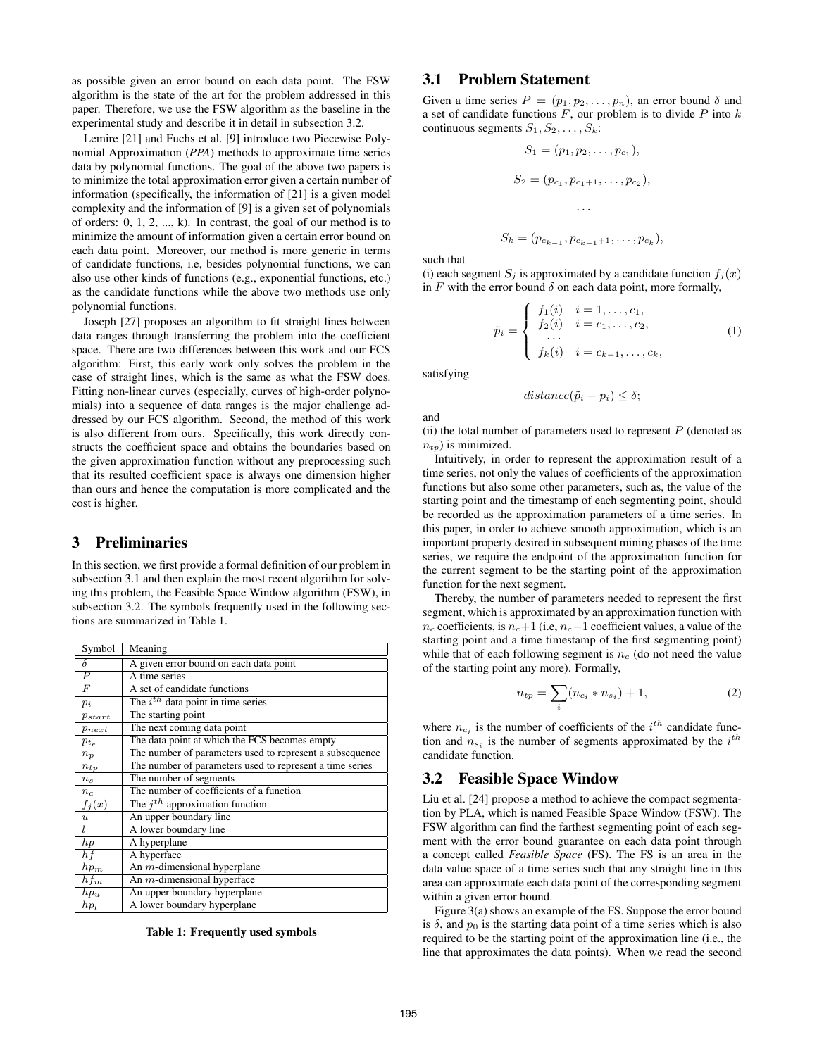as possible given an error bound on each data point. The FSW algorithm is the state of the art for the problem addressed in this paper. Therefore, we use the FSW algorithm as the baseline in the experimental study and describe it in detail in subsection 3.2.

Lemire [21] and Fuchs et al. [9] introduce two Piecewise Polynomial Approximation (*PPA*) methods to approximate time series data by polynomial functions. The goal of the above two papers is to minimize the total approximation error given a certain number of information (specifically, the information of [21] is a given model complexity and the information of [9] is a given set of polynomials of orders:  $0, 1, 2, \ldots, k$ ). In contrast, the goal of our method is to minimize the amount of information given a certain error bound on each data point. Moreover, our method is more generic in terms of candidate functions, i.e, besides polynomial functions, we can also use other kinds of functions (e.g., exponential functions, etc.) as the candidate functions while the above two methods use only polynomial functions.

Joseph [27] proposes an algorithm to fit straight lines between data ranges through transferring the problem into the coefficient space. There are two differences between this work and our FCS algorithm: First, this early work only solves the problem in the case of straight lines, which is the same as what the FSW does. Fitting non-linear curves (especially, curves of high-order polynomials) into a sequence of data ranges is the major challenge addressed by our FCS algorithm. Second, the method of this work is also different from ours. Specifically, this work directly constructs the coefficient space and obtains the boundaries based on the given approximation function without any preprocessing such that its resulted coefficient space is always one dimension higher than ours and hence the computation is more complicated and the cost is higher.

# **3 Preliminaries**

In this section, we first provide a formal definition of our problem in subsection 3.1 and then explain the most recent algorithm for solving this problem, the Feasible Space Window algorithm (FSW), in subsection 3.2. The symbols frequently used in the following sections are summarized in Table 1.

| Symbol           | Meaning                                                  |
|------------------|----------------------------------------------------------|
| $\delta$         | A given error bound on each data point                   |
| $\overline{P}$   | A time series                                            |
| $\overline{F}$   | A set of candidate functions                             |
| $p_i$            | The $i^{th}$ data point in time series                   |
| $p_{start}$      | The starting point                                       |
| $p_{next}$       | The next coming data point                               |
| $p_{t_e}$        | The data point at which the FCS becomes empty            |
| $n_p$            | The number of parameters used to represent a subsequence |
| $n_{tp}$         | The number of parameters used to represent a time series |
| $n_{s}$          | The number of segments                                   |
| $n_c$            | The number of coefficients of a function                 |
| $f_i(x)$         | The $jth$ approximation function                         |
| $\boldsymbol{u}$ | An upper boundary line                                   |
| $\overline{l}$   | A lower boundary line                                    |
| $\overline{hp}$  | A hyperplane                                             |
| $\bar{h}f$       | A hyperface                                              |
| $hp_m$           | An $m$ -dimensional hyperplane                           |
| $hf_m$           | An $m$ -dimensional hyperface                            |
| $hp_u$           | An upper boundary hyperplane                             |
| $hp_l$           | A lower boundary hyperplane                              |

**Table 1: Frequently used symbols**

# **3.1 Problem Statement**

Given a time series  $P = (p_1, p_2, \ldots, p_n)$ , an error bound  $\delta$  and a set of candidate functions  $F$ , our problem is to divide  $P$  into  $k$ continuous segments  $S_1, S_2, \ldots, S_k$ :

$$
S_1 = (p_1, p_2, \dots, p_{c_1}),
$$
  
\n
$$
S_2 = (p_{c_1}, p_{c_1+1}, \dots, p_{c_2}),
$$
  
\n...  
\n
$$
S_k = (p_{c_{k-1}}, p_{c_{k-1}+1}, \dots, p_{c_k}),
$$

such that

(i) each segment  $S_i$  is approximated by a candidate function  $f_i(x)$ in F with the error bound  $\delta$  on each data point, more formally,

$$
\tilde{p}_i = \begin{cases}\nf_1(i) & i = 1, \dots, c_1, \\
f_2(i) & i = c_1, \dots, c_2, \\
\vdots & \\
f_k(i) & i = c_{k-1}, \dots, c_k,\n\end{cases}
$$
\n(1)

satisfying

$$
distance(\tilde{p}_i - p_i) \le \delta;
$$

and

(ii) the total number of parameters used to represent  $P$  (denoted as  $n_{tp}$ ) is minimized.

Intuitively, in order to represent the approximation result of a time series, not only the values of coefficients of the approximation functions but also some other parameters, such as, the value of the starting point and the timestamp of each segmenting point, should be recorded as the approximation parameters of a time series. In this paper, in order to achieve smooth approximation, which is an important property desired in subsequent mining phases of the time series, we require the endpoint of the approximation function for the current segment to be the starting point of the approximation function for the next segment.

Thereby, the number of parameters needed to represent the first segment, which is approximated by an approximation function with  $n_c$  coefficients, is  $n_c+1$  (i.e,  $n_c-1$  coefficient values, a value of the starting point and a time timestamp of the first segmenting point) while that of each following segment is  $n_c$  (do not need the value of the starting point any more). Formally,

$$
n_{tp} = \sum_{i} (n_{c_i} * n_{s_i}) + 1,
$$
\n(2)

where  $n_{c_i}$  is the number of coefficients of the  $i^{th}$  candidate function and  $n_{s_i}$  is the number of segments approximated by the  $i^{th}$ candidate function.

# **3.2 Feasible Space Window**

Liu et al. [24] propose a method to achieve the compact segmentation by PLA, which is named Feasible Space Window (FSW). The FSW algorithm can find the farthest segmenting point of each segment with the error bound guarantee on each data point through a concept called *Feasible Space* (FS). The FS is an area in the data value space of a time series such that any straight line in this area can approximate each data point of the corresponding segment within a given error bound.

Figure 3(a) shows an example of the FS. Suppose the error bound is  $\delta$ , and  $p_0$  is the starting data point of a time series which is also required to be the starting point of the approximation line (i.e., the line that approximates the data points). When we read the second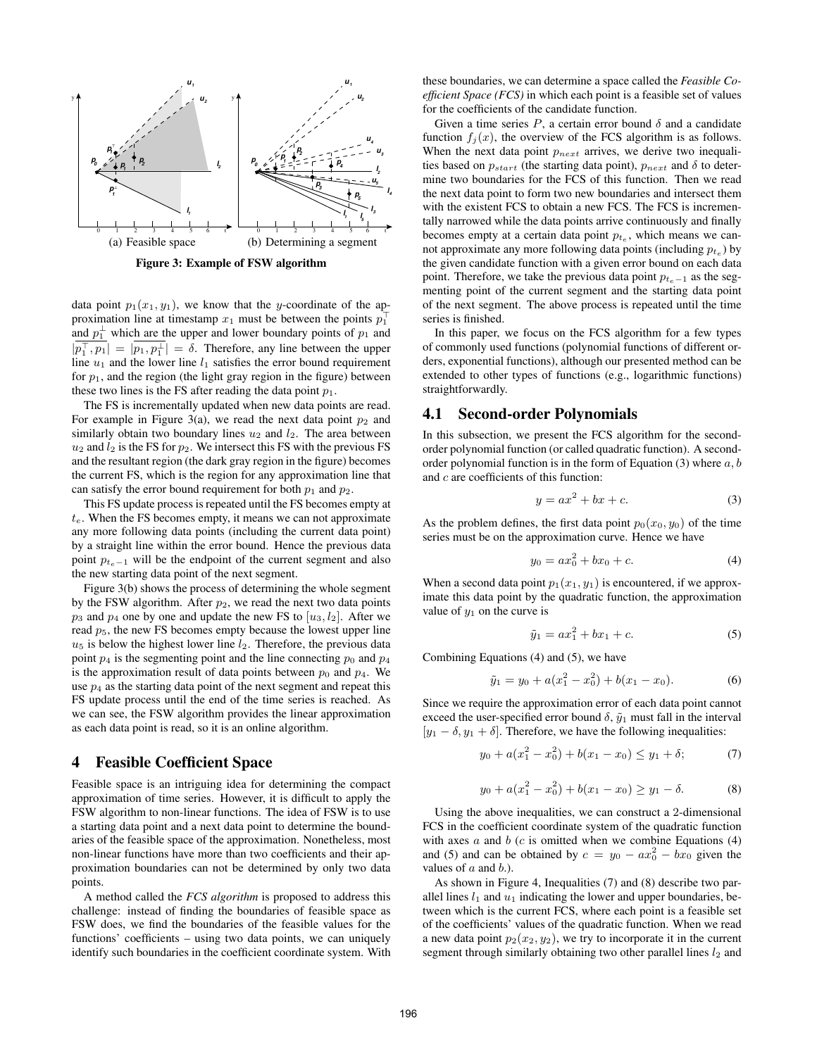

**Figure 3: Example of FSW algorithm**

data point  $p_1(x_1, y_1)$ , we know that the y-coordinate of the approximation line at timestamp  $x_1$  must be between the points  $p_1^{\top}$ and  $p_1^{\perp}$  which are the upper and lower boundary points of  $p_1$  and  $|\overline{p_1^T, p_1}| = |\overline{p_1, p_1^{\perp}}| = \delta$ . Therefore, any line between the upper line  $u_1$  and the lower line  $l_1$  satisfies the error bound requirement for  $p_1$ , and the region (the light gray region in the figure) between these two lines is the FS after reading the data point  $p_1$ .

The FS is incrementally updated when new data points are read. For example in Figure 3(a), we read the next data point  $p_2$  and similarly obtain two boundary lines  $u_2$  and  $l_2$ . The area between  $u_2$  and  $l_2$  is the FS for  $p_2$ . We intersect this FS with the previous FS and the resultant region (the dark gray region in the figure) becomes the current FS, which is the region for any approximation line that can satisfy the error bound requirement for both  $p_1$  and  $p_2$ .

This FS update process is repeated until the FS becomes empty at  $t<sub>e</sub>$ . When the FS becomes empty, it means we can not approximate any more following data points (including the current data point) by a straight line within the error bound. Hence the previous data point  $p_{t_{e}-1}$  will be the endpoint of the current segment and also the new starting data point of the next segment.

Figure 3(b) shows the process of determining the whole segment by the FSW algorithm. After  $p_2$ , we read the next two data points  $p_3$  and  $p_4$  one by one and update the new FS to  $[u_3, l_2]$ . After we read  $p_5$ , the new FS becomes empty because the lowest upper line  $u_5$  is below the highest lower line  $l_2$ . Therefore, the previous data point  $p_4$  is the segmenting point and the line connecting  $p_0$  and  $p_4$ is the approximation result of data points between  $p_0$  and  $p_4$ . We use  $p_4$  as the starting data point of the next segment and repeat this FS update process until the end of the time series is reached. As we can see, the FSW algorithm provides the linear approximation as each data point is read, so it is an online algorithm.

#### **4 Feasible Coefficient Space**

Feasible space is an intriguing idea for determining the compact approximation of time series. However, it is difficult to apply the FSW algorithm to non-linear functions. The idea of FSW is to use a starting data point and a next data point to determine the boundaries of the feasible space of the approximation. Nonetheless, most non-linear functions have more than two coefficients and their approximation boundaries can not be determined by only two data points.

A method called the *FCS algorithm* is proposed to address this challenge: instead of finding the boundaries of feasible space as FSW does, we find the boundaries of the feasible values for the functions' coefficients – using two data points, we can uniquely identify such boundaries in the coefficient coordinate system. With

these boundaries, we can determine a space called the *Feasible Coefficient Space (FCS)* in which each point is a feasible set of values for the coefficients of the candidate function.

Given a time series P, a certain error bound  $\delta$  and a candidate function  $f_i(x)$ , the overview of the FCS algorithm is as follows. When the next data point  $p_{next}$  arrives, we derive two inequalities based on  $p_{start}$  (the starting data point),  $p_{next}$  and  $\delta$  to determine two boundaries for the FCS of this function. Then we read the next data point to form two new boundaries and intersect them with the existent FCS to obtain a new FCS. The FCS is incrementally narrowed while the data points arrive continuously and finally becomes empty at a certain data point  $p_{t_e}$ , which means we cannot approximate any more following data points (including  $p_{t_e}$ ) by the given candidate function with a given error bound on each data point. Therefore, we take the previous data point  $p_{t_e-1}$  as the segmenting point of the current segment and the starting data point of the next segment. The above process is repeated until the time series is finished.

In this paper, we focus on the FCS algorithm for a few types of commonly used functions (polynomial functions of different orders, exponential functions), although our presented method can be extended to other types of functions (e.g., logarithmic functions) straightforwardly.

#### **4.1 Second-order Polynomials**

In this subsection, we present the FCS algorithm for the secondorder polynomial function (or called quadratic function). A secondorder polynomial function is in the form of Equation (3) where  $a, b$ and c are coefficients of this function:

$$
y = ax^2 + bx + c.\tag{3}
$$

As the problem defines, the first data point  $p_0(x_0, y_0)$  of the time series must be on the approximation curve. Hence we have

$$
y_0 = ax_0^2 + bx_0 + c.\t\t(4)
$$

When a second data point  $p_1(x_1, y_1)$  is encountered, if we approximate this data point by the quadratic function, the approximation value of  $y_1$  on the curve is

$$
\tilde{y}_1 = ax_1^2 + bx_1 + c.\t\t(5)
$$

Combining Equations (4) and (5), we have

$$
\tilde{y}_1 = y_0 + a(x_1^2 - x_0^2) + b(x_1 - x_0). \tag{6}
$$

Since we require the approximation error of each data point cannot exceed the user-specified error bound  $\delta$ ,  $\tilde{y}_1$  must fall in the interval  $[y_1 - \delta, y_1 + \delta]$ . Therefore, we have the following inequalities:

$$
y_0 + a(x_1^2 - x_0^2) + b(x_1 - x_0) \le y_1 + \delta; \tag{7}
$$

$$
y_0 + a(x_1^2 - x_0^2) + b(x_1 - x_0) \ge y_1 - \delta. \tag{8}
$$

Using the above inequalities, we can construct a 2-dimensional FCS in the coefficient coordinate system of the quadratic function with axes  $a$  and  $b$  ( $c$  is omitted when we combine Equations (4) and (5) and can be obtained by  $c = y_0 - ax_0^2 - bx_0$  given the values of  $a$  and  $b$ .).

As shown in Figure 4, Inequalities (7) and (8) describe two parallel lines  $l_1$  and  $u_1$  indicating the lower and upper boundaries, between which is the current FCS, where each point is a feasible set of the coefficients' values of the quadratic function. When we read a new data point  $p_2(x_2, y_2)$ , we try to incorporate it in the current segment through similarly obtaining two other parallel lines  $l_2$  and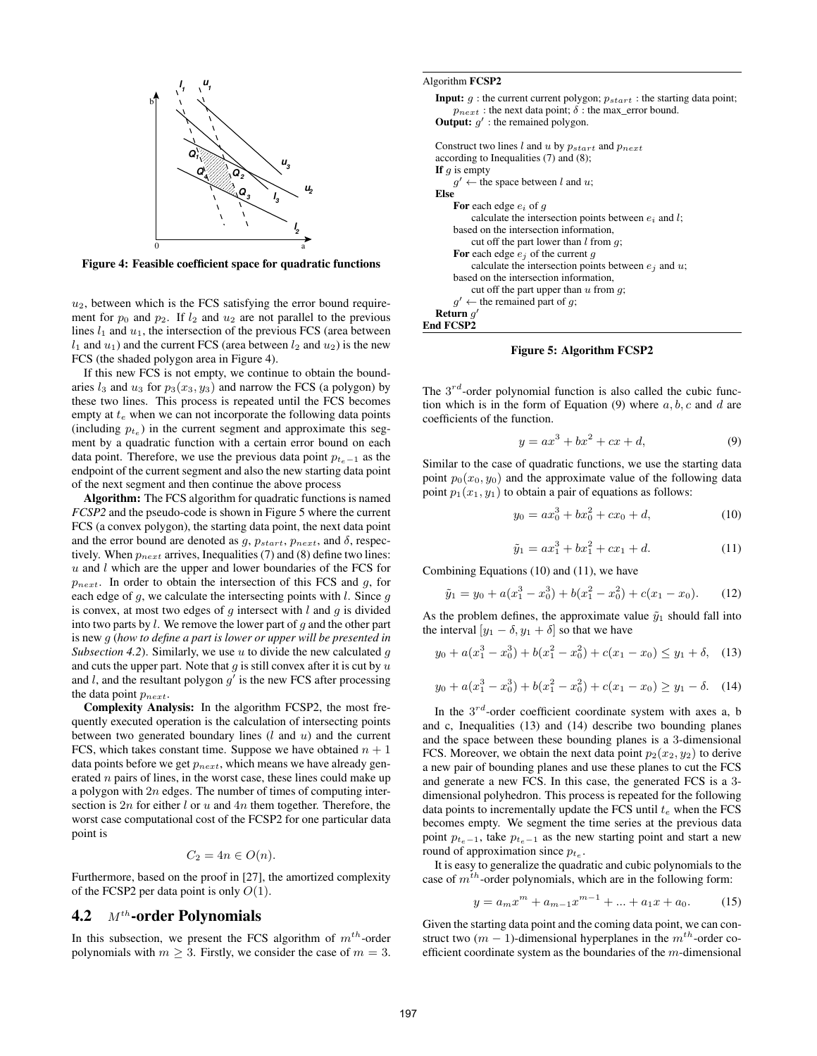

**Figure 4: Feasible coefficient space for quadratic functions**

 $u_2$ , between which is the FCS satisfying the error bound requirement for  $p_0$  and  $p_2$ . If  $l_2$  and  $u_2$  are not parallel to the previous lines  $l_1$  and  $u_1$ , the intersection of the previous FCS (area between  $l_1$  and  $u_1$ ) and the current FCS (area between  $l_2$  and  $u_2$ ) is the new FCS (the shaded polygon area in Figure 4).

If this new FCS is not empty, we continue to obtain the boundaries  $l_3$  and  $u_3$  for  $p_3(x_3, y_3)$  and narrow the FCS (a polygon) by these two lines. This process is repeated until the FCS becomes empty at  $t_e$  when we can not incorporate the following data points (including  $p_{t_e}$ ) in the current segment and approximate this segment by a quadratic function with a certain error bound on each data point. Therefore, we use the previous data point  $p_{t-1}$  as the endpoint of the current segment and also the new starting data point of the next segment and then continue the above process

**Algorithm:** The FCS algorithm for quadratic functions is named *FCSP2* and the pseudo-code is shown in Figure 5 where the current FCS (a convex polygon), the starting data point, the next data point and the error bound are denoted as  $g$ ,  $p_{start}$ ,  $p_{next}$ , and  $\delta$ , respectively. When  $p_{next}$  arrives, Inequalities (7) and (8) define two lines:  $u$  and  $l$  which are the upper and lower boundaries of the FCS for  $p_{next}$ . In order to obtain the intersection of this FCS and g, for each edge of  $g$ , we calculate the intersecting points with  $l$ . Since  $g$ is convex, at most two edges of  $g$  intersect with  $l$  and  $g$  is divided into two parts by  $l$ . We remove the lower part of  $g$  and the other part is new g (*how to define a part is lower or upper will be presented in Subsection 4.2*). Similarly, we use  $u$  to divide the new calculated  $g$ and cuts the upper part. Note that  $g$  is still convex after it is cut by  $u$ and l, and the resultant polygon  $g'$  is the new FCS after processing the data point  $p_{next}$ .

**Complexity Analysis:** In the algorithm FCSP2, the most frequently executed operation is the calculation of intersecting points between two generated boundary lines  $(l \text{ and } u)$  and the current FCS, which takes constant time. Suppose we have obtained  $n + 1$ data points before we get  $p_{next}$ , which means we have already generated  $n$  pairs of lines, in the worst case, these lines could make up a polygon with  $2n$  edges. The number of times of computing intersection is  $2n$  for either l or u and  $4n$  them together. Therefore, the worst case computational cost of the FCSP2 for one particular data point is

$$
C_2 = 4n \in O(n).
$$

Furthermore, based on the proof in [27], the amortized complexity of the FCSP2 per data point is only  $O(1)$ .

# **4.2** Mth**-order Polynomials**

In this subsection, we present the FCS algorithm of  $m^{th}$ -order polynomials with  $m \geq 3$ . Firstly, we consider the case of  $m = 3$ .

# Algorithm **FCSP2**

**Input:**  $q$ : the current current polygon;  $p_{start}$ : the starting data point;  $p_{next}$  : the next data point;  $\delta$  : the max\_error bound. **Output:**  $g'$  : the remained polygon. Construct two lines  $l$  and  $u$  by  $p_{start}$  and  $p_{next}$ according to Inequalities (7) and (8); **If**  $g$  is empty  $g' \leftarrow$  the space between l and u; **Else** For each edge  $e_i$  of  $g$ calculate the intersection points between  $e_i$  and l; based on the intersection information, cut off the part lower than  $l$  from  $q$ ; For each edge  $e_i$  of the current q calculate the intersection points between  $e_j$  and u; based on the intersection information, cut off the part upper than  $u$  from  $q$ ;  $g' \leftarrow$  the remained part of g; **Return** g ′ **End FCSP2**

**Figure 5: Algorithm FCSP2**

The  $3^{rd}$ -order polynomial function is also called the cubic function which is in the form of Equation (9) where  $a, b, c$  and d are coefficients of the function.

$$
y = ax^3 + bx^2 + cx + d,\t\t(9)
$$

Similar to the case of quadratic functions, we use the starting data point  $p_0(x_0, y_0)$  and the approximate value of the following data point  $p_1(x_1, y_1)$  to obtain a pair of equations as follows:

$$
y_0 = ax_0^3 + bx_0^2 + cx_0 + d,\tag{10}
$$

$$
\tilde{y}_1 = ax_1^3 + bx_1^2 + cx_1 + d.\tag{11}
$$

Combining Equations (10) and (11), we have

$$
\tilde{y}_1 = y_0 + a(x_1^3 - x_0^3) + b(x_1^2 - x_0^2) + c(x_1 - x_0). \tag{12}
$$

As the problem defines, the approximate value  $\tilde{y}_1$  should fall into the interval  $[y_1 - \delta, y_1 + \delta]$  so that we have

$$
y_0 + a(x_1^3 - x_0^3) + b(x_1^2 - x_0^2) + c(x_1 - x_0) \le y_1 + \delta,
$$
 (13)

$$
y_0 + a(x_1^3 - x_0^3) + b(x_1^2 - x_0^2) + c(x_1 - x_0) \ge y_1 - \delta. \quad (14)
$$

In the  $3^{rd}$ -order coefficient coordinate system with axes a, b and c, Inequalities (13) and (14) describe two bounding planes and the space between these bounding planes is a 3-dimensional FCS. Moreover, we obtain the next data point  $p_2(x_2, y_2)$  to derive a new pair of bounding planes and use these planes to cut the FCS and generate a new FCS. In this case, the generated FCS is a 3 dimensional polyhedron. This process is repeated for the following data points to incrementally update the FCS until  $t_e$  when the FCS becomes empty. We segment the time series at the previous data point  $p_{t_{e}-1}$ , take  $p_{t_{e}-1}$  as the new starting point and start a new round of approximation since  $p_{t_e}$ .

It is easy to generalize the quadratic and cubic polynomials to the case of  $m^{th}$ -order polynomials, which are in the following form:

$$
y = a_m x^m + a_{m-1} x^{m-1} + \dots + a_1 x + a_0. \tag{15}
$$

Given the starting data point and the coming data point, we can construct two  $(m - 1)$ -dimensional hyperplanes in the  $m<sup>th</sup>$ -order coefficient coordinate system as the boundaries of the m-dimensional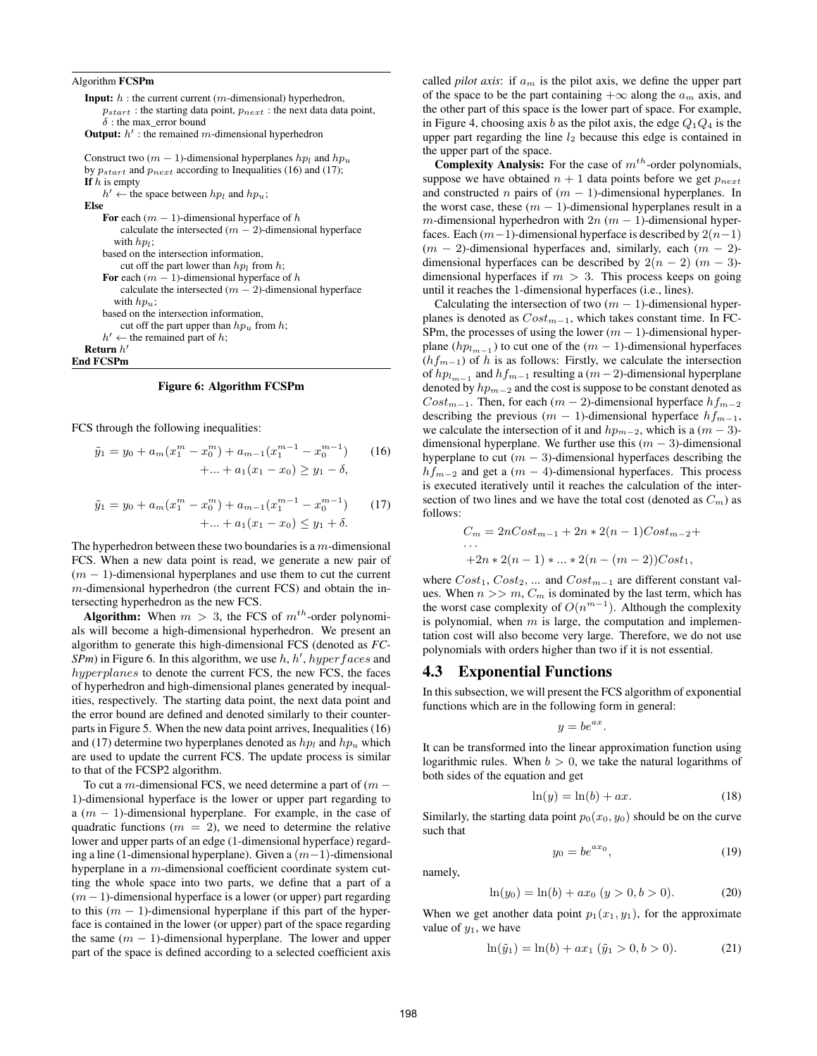```
Algorithm FCSPm
   Input: h : the current current (m-dimensional) hyperhedron,
       p_{start}: the starting data point, p_{next}: the next data data point,
       \delta: the max_error bound
   Output: h' : the remained m-dimensional hyperhedron
   Construct two (m - 1)-dimensional hyperplanes hp_l and hp_uby p_{start} and p_{next} according to Inequalities (16) and (17);
  If h is empty
       h' \leftarrow the space between hp_l and hp_u;
   Else
       For each (m - 1)-dimensional hyperface of h
           calculate the intersected (m - 2)-dimensional hyperface
          with hp_l;
       based on the intersection information,
            cut off the part lower than hp_l from h;
       For each (m - 1)-dimensional hyperface of h
           calculate the intersected (m - 2)-dimensional hyperface
          with hp_u;
       based on the intersection information,
           cut off the part upper than hp_u from h;
       h' \leftarrow the remained part of h;
   Return h
′
End FCSPm
```
#### **Figure 6: Algorithm FCSPm**

FCS through the following inequalities:

$$
\tilde{y}_1 = y_0 + a_m(x_1^m - x_0^m) + a_{m-1}(x_1^{m-1} - x_0^{m-1})
$$
\n
$$
+ \dots + a_1(x_1 - x_0) \ge y_1 - \delta,
$$
\n(16)

$$
\tilde{y}_1 = y_0 + a_m(x_1^m - x_0^m) + a_{m-1}(x_1^{m-1} - x_0^{m-1})
$$
\n
$$
+ \dots + a_1(x_1 - x_0) \le y_1 + \delta.
$$
\n(17)

The hyperhedron between these two boundaries is a  $m$ -dimensional FCS. When a new data point is read, we generate a new pair of  $(m - 1)$ -dimensional hyperplanes and use them to cut the current m-dimensional hyperhedron (the current FCS) and obtain the intersecting hyperhedron as the new FCS.

**Algorithm:** When  $m > 3$ , the FCS of  $m^{th}$ -order polynomials will become a high-dimensional hyperhedron. We present an algorithm to generate this high-dimensional FCS (denoted as *FC-* $S\overline{P}m$ ) in Figure 6. In this algorithm, we use h, h', hyperfaces and hyperplanes to denote the current FCS, the new FCS, the faces of hyperhedron and high-dimensional planes generated by inequalities, respectively. The starting data point, the next data point and the error bound are defined and denoted similarly to their counterparts in Figure 5. When the new data point arrives, Inequalities (16) and (17) determine two hyperplanes denoted as  $hp_l$  and  $hp_u$  which are used to update the current FCS. The update process is similar to that of the FCSP2 algorithm.

To cut a m-dimensional FCS, we need determine a part of  $(m -$ 1)-dimensional hyperface is the lower or upper part regarding to a  $(m - 1)$ -dimensional hyperplane. For example, in the case of quadratic functions ( $m = 2$ ), we need to determine the relative lower and upper parts of an edge (1-dimensional hyperface) regarding a line (1-dimensional hyperplane). Given a  $(m−1)$ -dimensional hyperplane in a m-dimensional coefficient coordinate system cutting the whole space into two parts, we define that a part of a  $(m-1)$ -dimensional hyperface is a lower (or upper) part regarding to this  $(m - 1)$ -dimensional hyperplane if this part of the hyperface is contained in the lower (or upper) part of the space regarding the same  $(m - 1)$ -dimensional hyperplane. The lower and upper part of the space is defined according to a selected coefficient axis

called *pilot axis*: if  $a_m$  is the pilot axis, we define the upper part of the space to be the part containing  $+\infty$  along the  $a_m$  axis, and the other part of this space is the lower part of space. For example, in Figure 4, choosing axis b as the pilot axis, the edge  $Q_1Q_4$  is the upper part regarding the line  $l_2$  because this edge is contained in the upper part of the space.

**Complexity Analysis:** For the case of  $m<sup>th</sup>$ -order polynomials, suppose we have obtained  $n + 1$  data points before we get  $p_{next}$ and constructed *n* pairs of  $(m - 1)$ -dimensional hyperplanes. In the worst case, these  $(m - 1)$ -dimensional hyperplanes result in a m-dimensional hyperhedron with  $2n (m - 1)$ -dimensional hyperfaces. Each  $(m-1)$ -dimensional hyperface is described by  $2(n-1)$  $(m - 2)$ -dimensional hyperfaces and, similarly, each  $(m - 2)$ dimensional hyperfaces can be described by  $2(n-2)$   $(m-3)$ dimensional hyperfaces if  $m > 3$ . This process keeps on going until it reaches the 1-dimensional hyperfaces (i.e., lines).

Calculating the intersection of two  $(m - 1)$ -dimensional hyperplanes is denoted as  $Cost_{m-1}$ , which takes constant time. In FC-SPm, the processes of using the lower  $(m - 1)$ -dimensional hyperplane ( $hp_{m-1}$ ) to cut one of the (m – 1)-dimensional hyperfaces  $(hf_{m-1})$  of h is as follows: Firstly, we calculate the intersection of  $hp_{l_{m-1}}$  and  $hf_{m-1}$  resulting a  $(m-2)$ -dimensional hyperplane denoted by  $hp_{m-2}$  and the cost is suppose to be constant denoted as  $Cost_{m-1}$ . Then, for each (m – 2)-dimensional hyperface  $hf_{m-2}$ describing the previous  $(m - 1)$ -dimensional hyperface  $hf_{m-1}$ , we calculate the intersection of it and  $hp_{m-2}$ , which is a  $(m-3)$ dimensional hyperplane. We further use this  $(m-3)$ -dimensional hyperplane to cut  $(m - 3)$ -dimensional hyperfaces describing the  $hf_{m-2}$  and get a  $(m-4)$ -dimensional hyperfaces. This process is executed iteratively until it reaches the calculation of the intersection of two lines and we have the total cost (denoted as  $C_m$ ) as follows:

$$
C_m = 2n\cos t_{m-1} + 2n * 2(n - 1)\cos t_{m-2} + \cdots
$$
  
+2n \* 2(n - 1) \* ... \* 2(n - (m - 2)) $Cost_1$ ,

where  $Cost_1, Cost_2, ...$  and  $Cost_{m-1}$  are different constant values. When  $n >> m$ ,  $C_m$  is dominated by the last term, which has the worst case complexity of  $O(n^{m-1})$ . Although the complexity is polynomial, when  $m$  is large, the computation and implementation cost will also become very large. Therefore, we do not use polynomials with orders higher than two if it is not essential.

#### **4.3 Exponential Functions**

In this subsection, we will present the FCS algorithm of exponential functions which are in the following form in general:

.

$$
y = be^{ax}
$$

It can be transformed into the linear approximation function using logarithmic rules. When  $b > 0$ , we take the natural logarithms of both sides of the equation and get

$$
\ln(y) = \ln(b) + ax.\tag{18}
$$

Similarly, the starting data point  $p_0(x_0, y_0)$  should be on the curve such that

$$
y_0 = be^{ax_0},\tag{19}
$$

namely,

$$
\ln(y_0) = \ln(b) + ax_0 \ (y > 0, b > 0). \tag{20}
$$

When we get another data point  $p_1(x_1, y_1)$ , for the approximate value of  $y_1$ , we have

$$
\ln(\tilde{y}_1) = \ln(b) + ax_1 \ (\tilde{y}_1 > 0, b > 0). \tag{21}
$$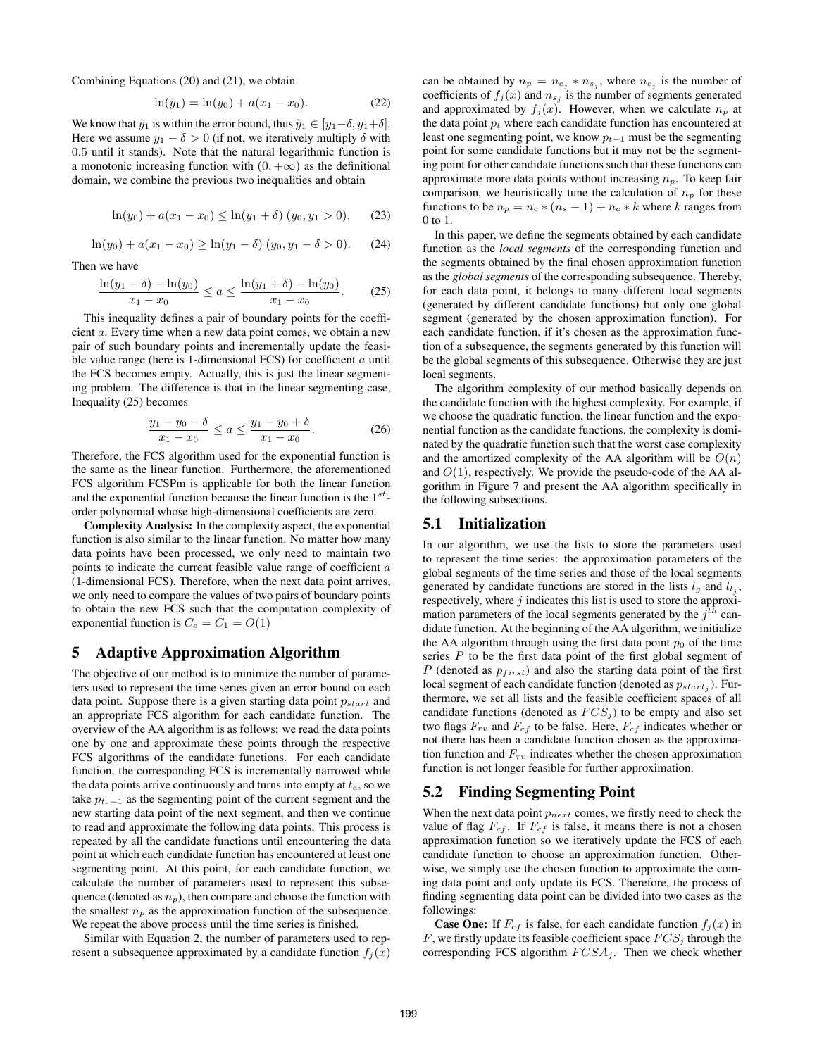Combining Equations (20) and (21), we obtain

$$
\ln(\tilde{y}_1) = \ln(y_0) + a(x_1 - x_0). \tag{22}
$$

We know that  $\tilde{y}_1$  is within the error bound, thus  $\tilde{y}_1 \in [y_1-\delta, y_1+\delta]$ . Here we assume  $y_1 - \delta > 0$  (if not, we iteratively multiply  $\delta$  with 0.5 until it stands). Note that the natural logarithmic function is a monotonic increasing function with  $(0, +\infty)$  as the definitional domain, we combine the previous two inequalities and obtain

$$
\ln(y_0) + a(x_1 - x_0) \le \ln(y_1 + \delta) \ (y_0, y_1 > 0), \tag{23}
$$

$$
\ln(y_0) + a(x_1 - x_0) \ge \ln(y_1 - \delta) (y_0, y_1 - \delta > 0). \tag{24}
$$

Then we have

$$
\frac{\ln(y_1 - \delta) - \ln(y_0)}{x_1 - x_0} \le a \le \frac{\ln(y_1 + \delta) - \ln(y_0)}{x_1 - x_0}.
$$
 (25)

This inequality defines a pair of boundary points for the coefficient a. Every time when a new data point comes, we obtain a new pair of such boundary points and incrementally update the feasible value range (here is 1-dimensional FCS) for coefficient a until the FCS becomes empty. Actually, this is just the linear segmenting problem. The difference is that in the linear segmenting case, Inequality (25) becomes

$$
\frac{y_1 - y_0 - \delta}{x_1 - x_0} \le a \le \frac{y_1 - y_0 + \delta}{x_1 - x_0}.
$$
 (26)

Therefore, the FCS algorithm used for the exponential function is the same as the linear function. Furthermore, the aforementioned FCS algorithm FCSPm is applicable for both the linear function and the exponential function because the linear function is the  $1^{st}$ order polynomial whose high-dimensional coefficients are zero.

**Complexity Analysis:** In the complexity aspect, the exponential function is also similar to the linear function. No matter how many data points have been processed, we only need to maintain two points to indicate the current feasible value range of coefficient a (1-dimensional FCS). Therefore, when the next data point arrives, we only need to compare the values of two pairs of boundary points to obtain the new FCS such that the computation complexity of exponential function is  $C_e = C_1 = O(1)$ 

#### **5 Adaptive Approximation Algorithm**

The objective of our method is to minimize the number of parameters used to represent the time series given an error bound on each data point. Suppose there is a given starting data point  $p_{start}$  and an appropriate FCS algorithm for each candidate function. The overview of the AA algorithm is as follows: we read the data points one by one and approximate these points through the respective FCS algorithms of the candidate functions. For each candidate function, the corresponding FCS is incrementally narrowed while the data points arrive continuously and turns into empty at  $t<sub>e</sub>$ , so we take  $p_{t_{e}-1}$  as the segmenting point of the current segment and the new starting data point of the next segment, and then we continue to read and approximate the following data points. This process is repeated by all the candidate functions until encountering the data point at which each candidate function has encountered at least one segmenting point. At this point, for each candidate function, we calculate the number of parameters used to represent this subsequence (denoted as  $n_p$ ), then compare and choose the function with the smallest  $n_p$  as the approximation function of the subsequence. We repeat the above process until the time series is finished.

Similar with Equation 2, the number of parameters used to represent a subsequence approximated by a candidate function  $f_j(x)$ 

can be obtained by  $n_p = n_{c_j} * n_{s_j}$ , where  $n_{c_j}$  is the number of coefficients of  $f_j(x)$  and  $n_{s_j}$  is the number of segments generated and approximated by  $f_j(x)$ . However, when we calculate  $n_p$  at the data point  $p_t$  where each candidate function has encountered at least one segmenting point, we know  $p_{t-1}$  must be the segmenting point for some candidate functions but it may not be the segmenting point for other candidate functions such that these functions can approximate more data points without increasing  $n_p$ . To keep fair comparison, we heuristically tune the calculation of  $n_p$  for these functions to be  $n_p = n_c * (n_s - 1) + n_c * k$  where k ranges from 0 to 1.

In this paper, we define the segments obtained by each candidate function as the *local segments* of the corresponding function and the segments obtained by the final chosen approximation function as the *global segments* of the corresponding subsequence. Thereby, for each data point, it belongs to many different local segments (generated by different candidate functions) but only one global segment (generated by the chosen approximation function). For each candidate function, if it's chosen as the approximation function of a subsequence, the segments generated by this function will be the global segments of this subsequence. Otherwise they are just local segments.

The algorithm complexity of our method basically depends on the candidate function with the highest complexity. For example, if we choose the quadratic function, the linear function and the exponential function as the candidate functions, the complexity is dominated by the quadratic function such that the worst case complexity and the amortized complexity of the AA algorithm will be  $O(n)$ and  $O(1)$ , respectively. We provide the pseudo-code of the AA algorithm in Figure 7 and present the AA algorithm specifically in the following subsections.

#### **5.1 Initialization**

In our algorithm, we use the lists to store the parameters used to represent the time series: the approximation parameters of the global segments of the time series and those of the local segments generated by candidate functions are stored in the lists  $l_g$  and  $l_l_j$ , respectively, where  $j$  indicates this list is used to store the approximation parameters of the local segments generated by the  $j^{\bar{t}h}$  candidate function. At the beginning of the AA algorithm, we initialize the AA algorithm through using the first data point  $p_0$  of the time series  $P$  to be the first data point of the first global segment of  $P$  (denoted as  $p_{first}$ ) and also the starting data point of the first local segment of each candidate function (denoted as  $p_{start_j}$ ). Furthermore, we set all lists and the feasible coefficient spaces of all candidate functions (denoted as  $FCS<sub>j</sub>$ ) to be empty and also set two flags  $F_{rv}$  and  $F_{cf}$  to be false. Here,  $F_{cf}$  indicates whether or not there has been a candidate function chosen as the approximation function and  $F_{rv}$  indicates whether the chosen approximation function is not longer feasible for further approximation.

## **5.2 Finding Segmenting Point**

When the next data point  $p_{next}$  comes, we firstly need to check the value of flag  $F_{cf}$ . If  $F_{cf}$  is false, it means there is not a chosen approximation function so we iteratively update the FCS of each candidate function to choose an approximation function. Otherwise, we simply use the chosen function to approximate the coming data point and only update its FCS. Therefore, the process of finding segmenting data point can be divided into two cases as the followings:

**Case One:** If  $F_{cf}$  is false, for each candidate function  $f_i(x)$  in F, we firstly update its feasible coefficient space  $FCS_j$  through the corresponding FCS algorithm  $FCSA_j$ . Then we check whether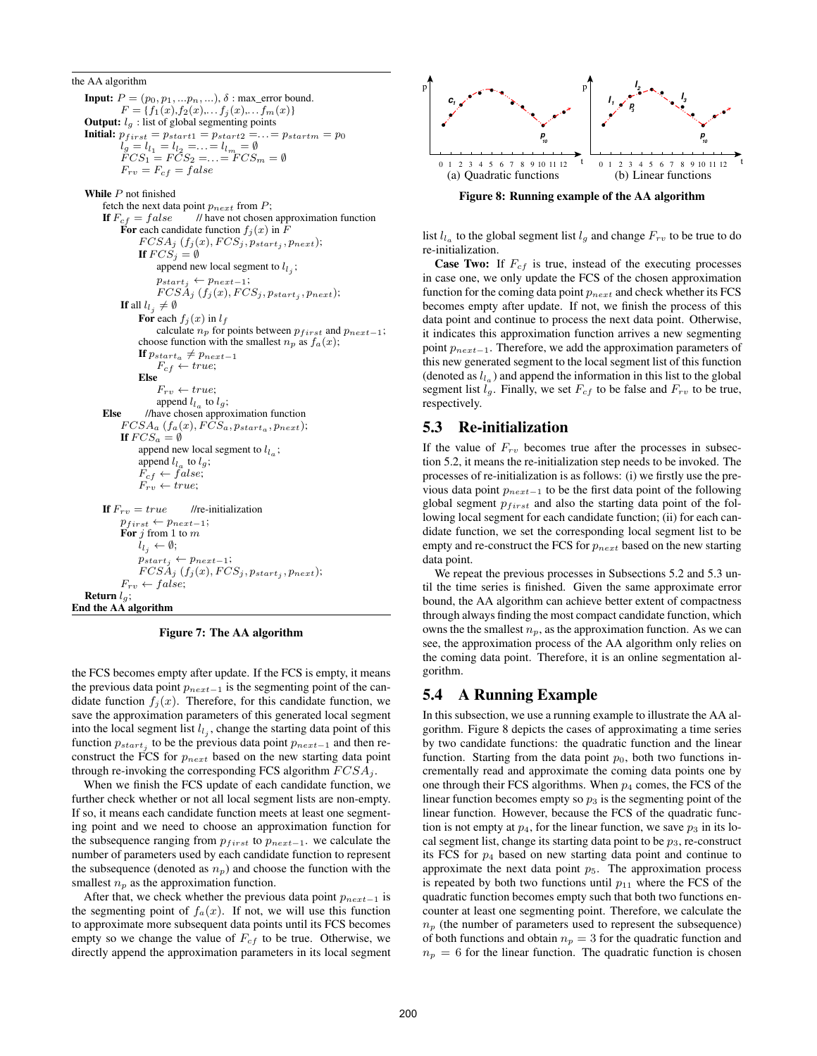the AA algorithm

**Input:**  $P = (p_0, p_1, \ldots, p_n, \ldots), \delta$ : max\_error bound.  $F = \{f_1(x), f_2(x), \ldots, f_j(x), \ldots, f_m(x)\}\$ **Output:**  $l_g$  : list of global segmenting points **Initial:**  $p_{first} = p_{start1} = p_{start2} = \ldots = p_{startm} = p_0$  $l_g = l_{l_1} = l_{l_2} = ... = l_{l_m} = \emptyset$ <br> $FCS_1 = FCS_2 = ... = FCS_m = \emptyset$  $F_{rv} = F_{cf} = false$ **While** P not finished fetch the next data point  $p_{next}$  from P;<br> **If**  $F_{cf} = false$  // have not chosen // have not chosen approximation function **For** each candidate function  $f_j(x)$  in F  $FCSA_j(f_j(x),FCS_j, p_{start_j}, p_{next});$ **If**  $FCS_j = \emptyset$ append new local segment to  $l_{l_j}$ ;  $p_{start_j} \leftarrow p_{next-1};$  $FCSA_j(f_j(x),FCS_j, p_{start_j}, p_{next});$ **If** all  $l_{l_j}\neq\emptyset$ **For** each  $f_i(x)$  in  $l_f$ calculate  $n_p$  for points between  $p_{first}$  and  $p_{next-1}$ ; choose function with the smallest  $n_p$  as  $f_a(x)$ ; **If**  $p_{start_a} \neq p_{next-1}$  $F_{cf} \leftarrow true;$ **Else**  $F_{rv} \leftarrow true;$ append  $l_{l_a}$  to  $l_g$ ; **Else** //have chosen approximation function  $FCSA_a(f_a(x), FCS_a, p_{start_a}, p_{next});$ **If**  $FCS_a = \emptyset$ append new local segment to  $l_{l_a}$ ; append  $l_{l_a}$  to  $l_g$ ;  $F_{cf} \leftarrow false;$  $F_{rv} \leftarrow true;$ **If**  $F_{rv} = true$  //re-initialization  $p_{first} \leftarrow p_{next-1};$ **For**  $j$  from 1 to  $m$  $l_{l_j} \leftarrow \emptyset;$  $p_{start_i} \leftarrow p_{next-1};$  $FCSA_j(f_j(x),FCS_j, p_{start_j}, p_{next});$  $F_{rv} \leftarrow false;$ **Return** lg; **End the AA algorithm**

**Figure 7: The AA algorithm**

the FCS becomes empty after update. If the FCS is empty, it means the previous data point  $p_{next-1}$  is the segmenting point of the candidate function  $f_j(x)$ . Therefore, for this candidate function, we save the approximation parameters of this generated local segment into the local segment list  $l_{l_j}$ , change the starting data point of this function  $p_{start_j}$  to be the previous data point  $p_{next-1}$  and then reconstruct the FCS for  $p_{next}$  based on the new starting data point through re-invoking the corresponding FCS algorithm  $FCSA_j$ .

When we finish the FCS update of each candidate function, we further check whether or not all local segment lists are non-empty. If so, it means each candidate function meets at least one segmenting point and we need to choose an approximation function for the subsequence ranging from  $p_{first}$  to  $p_{next-1}$ . we calculate the number of parameters used by each candidate function to represent the subsequence (denoted as  $n_p$ ) and choose the function with the smallest  $n_p$  as the approximation function.

After that, we check whether the previous data point  $p_{next-1}$  is the segmenting point of  $f_a(x)$ . If not, we will use this function to approximate more subsequent data points until its FCS becomes empty so we change the value of  $F_{cf}$  to be true. Otherwise, we directly append the approximation parameters in its local segment



**Figure 8: Running example of the AA algorithm**

list  $l_{l_a}$  to the global segment list  $l_g$  and change  $F_{rv}$  to be true to do re-initialization.

**Case Two:** If  $F_{cf}$  is true, instead of the executing processes in case one, we only update the FCS of the chosen approximation function for the coming data point  $p_{next}$  and check whether its FCS becomes empty after update. If not, we finish the process of this data point and continue to process the next data point. Otherwise, it indicates this approximation function arrives a new segmenting point  $p_{next-1}$ . Therefore, we add the approximation parameters of this new generated segment to the local segment list of this function (denoted as  $l_{l_a}$ ) and append the information in this list to the global segment list  $l_g$ . Finally, we set  $F_{cf}$  to be false and  $F_{rv}$  to be true, respectively.

# **5.3 Re-initialization**

If the value of  $F_{rv}$  becomes true after the processes in subsection 5.2, it means the re-initialization step needs to be invoked. The processes of re-initialization is as follows: (i) we firstly use the previous data point pnext−<sup>1</sup> to be the first data point of the following global segment  $p_{first}$  and also the starting data point of the following local segment for each candidate function; (ii) for each candidate function, we set the corresponding local segment list to be empty and re-construct the FCS for  $p_{next}$  based on the new starting data point.

We repeat the previous processes in Subsections 5.2 and 5.3 until the time series is finished. Given the same approximate error bound, the AA algorithm can achieve better extent of compactness through always finding the most compact candidate function, which owns the the smallest  $n_p$ , as the approximation function. As we can see, the approximation process of the AA algorithm only relies on the coming data point. Therefore, it is an online segmentation algorithm.

# **5.4 A Running Example**

In this subsection, we use a running example to illustrate the AA algorithm. Figure 8 depicts the cases of approximating a time series by two candidate functions: the quadratic function and the linear function. Starting from the data point  $p_0$ , both two functions incrementally read and approximate the coming data points one by one through their FCS algorithms. When  $p_4$  comes, the FCS of the linear function becomes empty so  $p_3$  is the segmenting point of the linear function. However, because the FCS of the quadratic function is not empty at  $p_4$ , for the linear function, we save  $p_3$  in its local segment list, change its starting data point to be  $p_3$ , re-construct its FCS for  $p_4$  based on new starting data point and continue to approximate the next data point  $p_5$ . The approximation process is repeated by both two functions until  $p_{11}$  where the FCS of the quadratic function becomes empty such that both two functions encounter at least one segmenting point. Therefore, we calculate the  $n_p$  (the number of parameters used to represent the subsequence) of both functions and obtain  $n_p = 3$  for the quadratic function and  $n_p = 6$  for the linear function. The quadratic function is chosen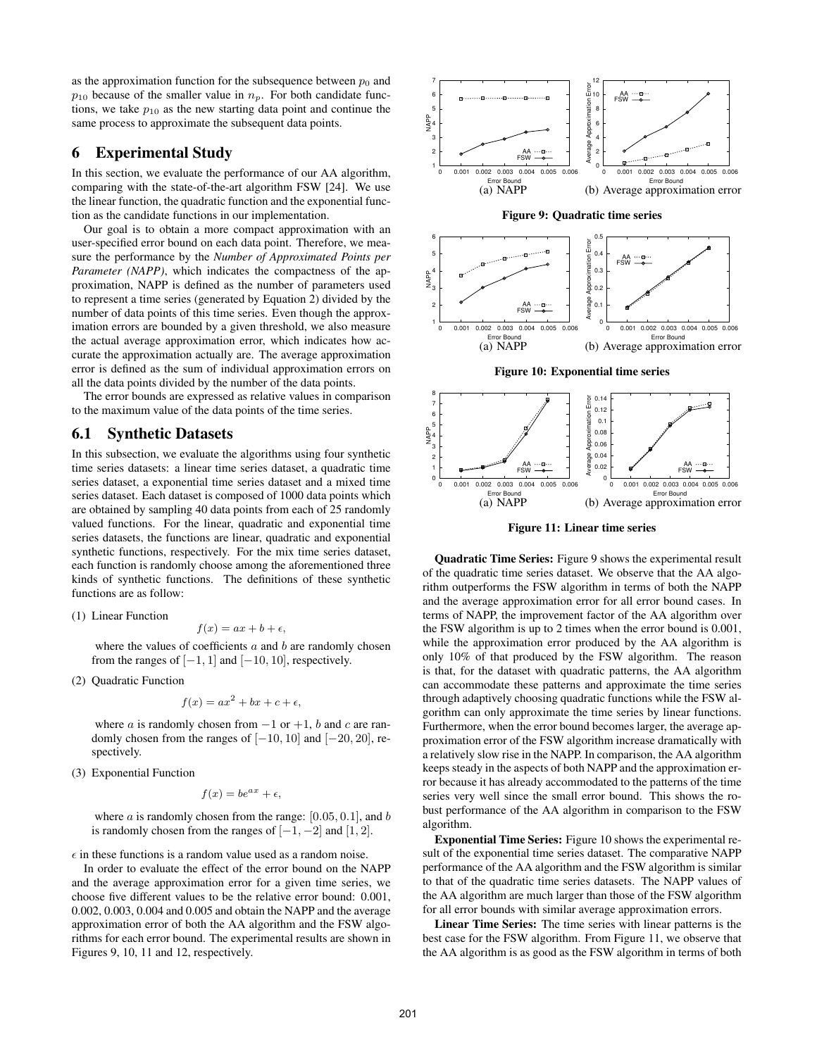as the approximation function for the subsequence between  $p_0$  and  $p_{10}$  because of the smaller value in  $n_p$ . For both candidate functions, we take  $p_{10}$  as the new starting data point and continue the same process to approximate the subsequent data points.

# **6 Experimental Study**

In this section, we evaluate the performance of our AA algorithm, comparing with the state-of-the-art algorithm FSW [24]. We use the linear function, the quadratic function and the exponential function as the candidate functions in our implementation.

Our goal is to obtain a more compact approximation with an user-specified error bound on each data point. Therefore, we measure the performance by the *Number of Approximated Points per Parameter (NAPP)*, which indicates the compactness of the approximation, NAPP is defined as the number of parameters used to represent a time series (generated by Equation 2) divided by the number of data points of this time series. Even though the approximation errors are bounded by a given threshold, we also measure the actual average approximation error, which indicates how accurate the approximation actually are. The average approximation error is defined as the sum of individual approximation errors on all the data points divided by the number of the data points.

The error bounds are expressed as relative values in comparison to the maximum value of the data points of the time series.

# **6.1 Synthetic Datasets**

In this subsection, we evaluate the algorithms using four synthetic time series datasets: a linear time series dataset, a quadratic time series dataset, a exponential time series dataset and a mixed time series dataset. Each dataset is composed of 1000 data points which are obtained by sampling 40 data points from each of 25 randomly valued functions. For the linear, quadratic and exponential time series datasets, the functions are linear, quadratic and exponential synthetic functions, respectively. For the mix time series dataset, each function is randomly choose among the aforementioned three kinds of synthetic functions. The definitions of these synthetic functions are as follow:

#### (1) Linear Function

$$
f(x) = ax + b + \epsilon,
$$

where the values of coefficients  $a$  and  $b$  are randomly chosen from the ranges of  $[-1, 1]$  and  $[-10, 10]$ , respectively.

(2) Quadratic Function

$$
f(x) = ax^2 + bx + c + \epsilon,
$$

where *a* is randomly chosen from  $-1$  or  $+1$ , *b* and *c* are randomly chosen from the ranges of  $[-10, 10]$  and  $[-20, 20]$ , respectively.

(3) Exponential Function

$$
f(x) = be^{ax} + \epsilon,
$$

where  $\alpha$  is randomly chosen from the range: [0.05, 0.1], and  $\delta$ is randomly chosen from the ranges of  $[-1, -2]$  and  $[1, 2]$ .

 $\epsilon$  in these functions is a random value used as a random noise.

In order to evaluate the effect of the error bound on the NAPP and the average approximation error for a given time series, we choose five different values to be the relative error bound: 0.001, 0.002, 0.003, 0.004 and 0.005 and obtain the NAPP and the average approximation error of both the AA algorithm and the FSW algorithms for each error bound. The experimental results are shown in Figures 9, 10, 11 and 12, respectively.



**Figure 10: Exponential time series**



**Figure 11: Linear time series**

**Quadratic Time Series:** Figure 9 shows the experimental result of the quadratic time series dataset. We observe that the AA algorithm outperforms the FSW algorithm in terms of both the NAPP and the average approximation error for all error bound cases. In terms of NAPP, the improvement factor of the AA algorithm over the FSW algorithm is up to 2 times when the error bound is 0.001, while the approximation error produced by the AA algorithm is only 10% of that produced by the FSW algorithm. The reason is that, for the dataset with quadratic patterns, the AA algorithm can accommodate these patterns and approximate the time series through adaptively choosing quadratic functions while the FSW algorithm can only approximate the time series by linear functions. Furthermore, when the error bound becomes larger, the average approximation error of the FSW algorithm increase dramatically with a relatively slow rise in the NAPP. In comparison, the AA algorithm keeps steady in the aspects of both NAPP and the approximation error because it has already accommodated to the patterns of the time series very well since the small error bound. This shows the robust performance of the AA algorithm in comparison to the FSW algorithm.

**Exponential Time Series:** Figure 10 shows the experimental result of the exponential time series dataset. The comparative NAPP performance of the AA algorithm and the FSW algorithm is similar to that of the quadratic time series datasets. The NAPP values of the AA algorithm are much larger than those of the FSW algorithm for all error bounds with similar average approximation errors.

**Linear Time Series:** The time series with linear patterns is the best case for the FSW algorithm. From Figure 11, we observe that the AA algorithm is as good as the FSW algorithm in terms of both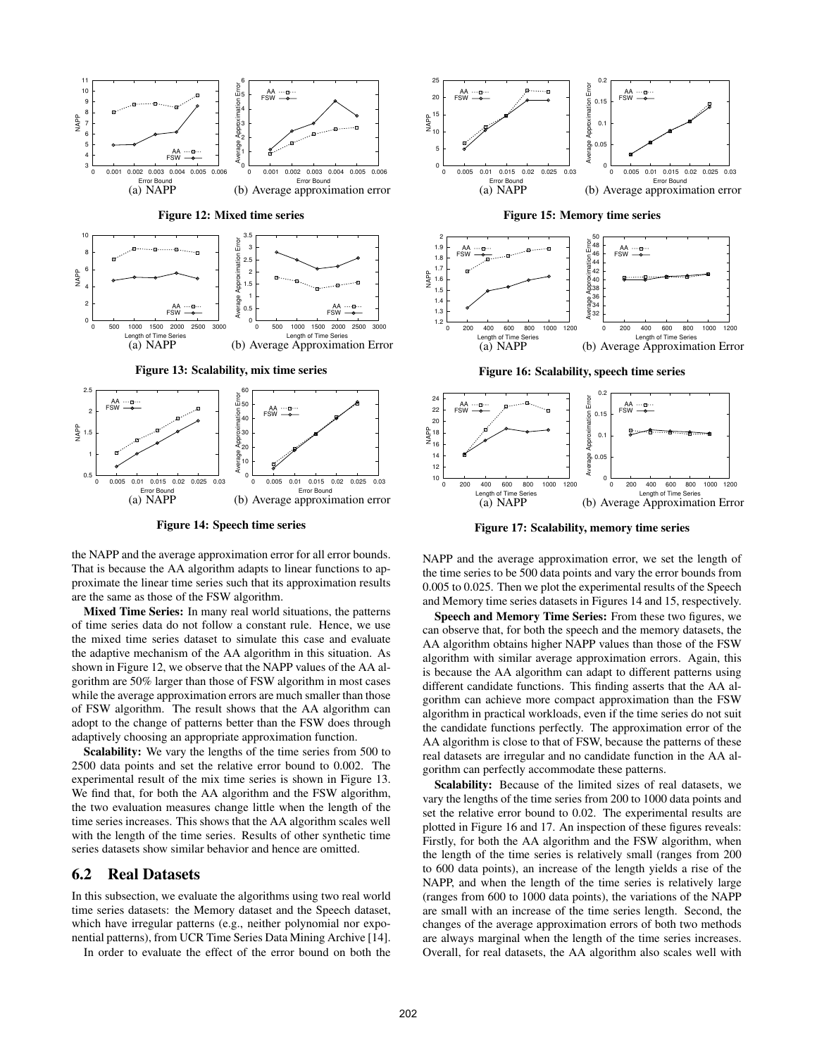

**Figure 14: Speech time series**

the NAPP and the average approximation error for all error bounds. That is because the AA algorithm adapts to linear functions to approximate the linear time series such that its approximation results are the same as those of the FSW algorithm.

**Mixed Time Series:** In many real world situations, the patterns of time series data do not follow a constant rule. Hence, we use the mixed time series dataset to simulate this case and evaluate the adaptive mechanism of the AA algorithm in this situation. As shown in Figure 12, we observe that the NAPP values of the AA algorithm are 50% larger than those of FSW algorithm in most cases while the average approximation errors are much smaller than those of FSW algorithm. The result shows that the AA algorithm can adopt to the change of patterns better than the FSW does through adaptively choosing an appropriate approximation function.

**Scalability:** We vary the lengths of the time series from 500 to 2500 data points and set the relative error bound to 0.002. The experimental result of the mix time series is shown in Figure 13. We find that, for both the AA algorithm and the FSW algorithm, the two evaluation measures change little when the length of the time series increases. This shows that the AA algorithm scales well with the length of the time series. Results of other synthetic time series datasets show similar behavior and hence are omitted.

#### **6.2 Real Datasets**

In this subsection, we evaluate the algorithms using two real world time series datasets: the Memory dataset and the Speech dataset, which have irregular patterns (e.g., neither polynomial nor exponential patterns), from UCR Time Series Data Mining Archive [14].

In order to evaluate the effect of the error bound on both the







**Figure 16: Scalability, speech time series**



**Figure 17: Scalability, memory time series**

NAPP and the average approximation error, we set the length of the time series to be 500 data points and vary the error bounds from 0.005 to 0.025. Then we plot the experimental results of the Speech and Memory time series datasets in Figures 14 and 15, respectively.

**Speech and Memory Time Series:** From these two figures, we can observe that, for both the speech and the memory datasets, the AA algorithm obtains higher NAPP values than those of the FSW algorithm with similar average approximation errors. Again, this is because the AA algorithm can adapt to different patterns using different candidate functions. This finding asserts that the AA algorithm can achieve more compact approximation than the FSW algorithm in practical workloads, even if the time series do not suit the candidate functions perfectly. The approximation error of the AA algorithm is close to that of FSW, because the patterns of these real datasets are irregular and no candidate function in the AA algorithm can perfectly accommodate these patterns.

**Scalability:** Because of the limited sizes of real datasets, we vary the lengths of the time series from 200 to 1000 data points and set the relative error bound to 0.02. The experimental results are plotted in Figure 16 and 17. An inspection of these figures reveals: Firstly, for both the AA algorithm and the FSW algorithm, when the length of the time series is relatively small (ranges from 200 to 600 data points), an increase of the length yields a rise of the NAPP, and when the length of the time series is relatively large (ranges from 600 to 1000 data points), the variations of the NAPP are small with an increase of the time series length. Second, the changes of the average approximation errors of both two methods are always marginal when the length of the time series increases. Overall, for real datasets, the AA algorithm also scales well with